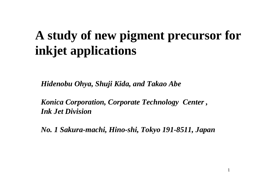# **A study of new pigment precursor for inkjet applications**

*Hidenobu Ohya, Shuji Kida, and Takao Abe*

*Konica Corporation, Corporate Technology Center , Ink Jet Division*

*No. 1 Sakura-machi, Hino-shi, Tokyo 191-8511, Japan*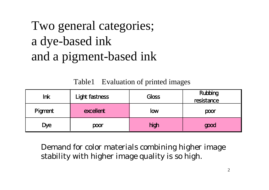# Two general categories; a dye-based ink and a pigment-based ink

#### Table1 Evaluation of printed images

| <b>Ink</b> | Light fastness | Gloss | Rubbing<br>resistance |
|------------|----------------|-------|-----------------------|
| Pigment    | excellent      | low   | poor                  |
| <b>Dye</b> | poor           | high  | good                  |

Demand for color materials combining higher image stability with higher image quality is so high.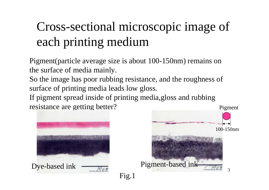# Cross-sectional microscopic image of each printing medium

Pigment(particle average size is about 100-150nm) remains on the surface of media mainly.

So the image has poor rubbing resistance, and the roughness of surface of printing media leads low gloss.

If pigment spread inside of printing media,gloss and rubbing resistance are getting better?

Fig.1



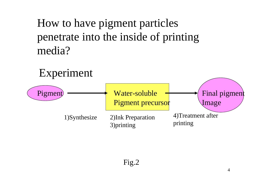#### How to have pigment particles penetrate into the inside of printing media?

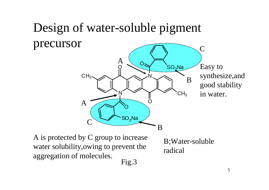#### Design of water-soluble pigment precursor  $\bf C$

N

O

 $\mathsf{SO}_3\mathsf{Na}$ 

O

 ${\rm A}$ 

N

Os

O

B

 $\mathsf{SO}_3\mathsf{Na}$  $\mathsf{CH}_3$ Easy to synthesize,and good stability in water. B

A is protected by C group to increase water solubility,owing to prevent the aggregation of molecules. Fig.3

 $\boldsymbol{C}$ 

 $\mathsf{CH}_3$ 

 $\bm{\mathsf{A}}$ 

B;Water-soluble radical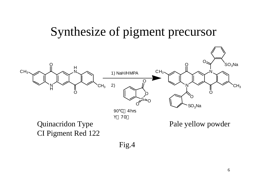#### Synthesize of pigment precursor



Fig.4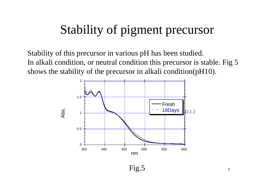## Stability of pigment precursor

Stability of this precursor in various pH has been studied. In alkali condition, or neutral condition this precursor is stable. Fig 5 shows the stability of the precursor in alkali condition(pH10).



Fig.5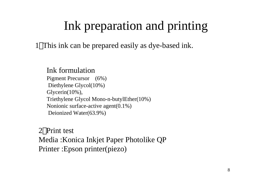## Ink preparation and printing

1 This ink can be prepared easily as dye-based ink.

Ink formulationPigment Precursor (6%) Diethylene Glycol(10%) Glycerin(10%), Triethylene Glycol Mono-n-butylEther(10%) Nonionic surface-active agent(0.1%) Deionized Water(63.9%)

2 Print test Media :Konica Inkjet Paper Photolike Q P Printer :Epson printer(piezo)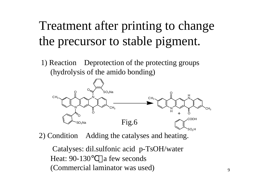# Treatment after printing to change the precursor to stable pigment.

1) Reaction Deprotection of the protecting groups (hydrolysis of the amido bonding)



2) Condition Adding the catalyses and heating.

Catalyses: dil.sulfonic acid p-TsOH/water Heat: 90-130 a few seconds (Commercial laminator was used)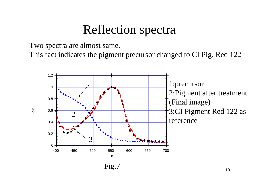#### Reflection spectra

Two spectra are almost same.

O.D.

This fact indicates the pigment precursor changed to CI Pig. Red 122

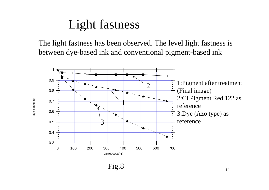### Light fastness

The light fastness has been observed. The level light fastness is between dye-based ink and conventional pigment-based ink

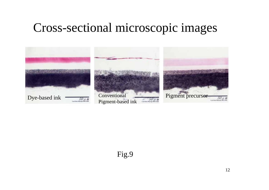#### Cross-sectional microscopic images

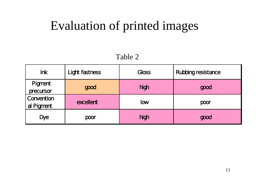#### Evaluation of printed images

#### Table 2

| <b>Ink</b>               | Light fastness | Gloss      | <b>Rubbing resistance</b> |
|--------------------------|----------------|------------|---------------------------|
| Pigment<br>precursor     | good           | high       | good                      |
| Convention<br>al Pigment | excellent      | <b>low</b> | poor                      |
| <b>Dye</b>               | poor           | high       | good                      |